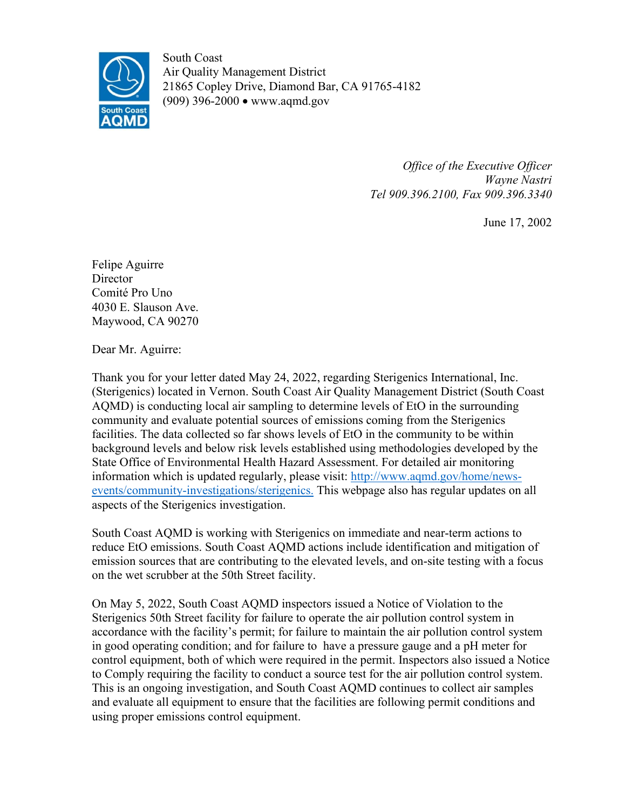

South Coast Air Quality Management District 21865 Copley Drive, Diamond Bar, CA 91765-4182 (909) 396-2000 • www.aqmd.gov

> *Office of the Executive Officer Wayne Nastri Tel 909.396.2100, Fax 909.396.3340*

> > June 17, 2002

Felipe Aguirre **Director** Comité Pro Uno 4030 E. Slauson Ave. Maywood, CA 90270

Dear Mr. Aguirre:

Thank you for your letter dated May 24, 2022, regarding Sterigenics International, Inc. (Sterigenics) located in Vernon. South Coast Air Quality Management District (South Coast AQMD) is conducting local air sampling to determine levels of EtO in the surrounding community and evaluate potential sources of emissions coming from the Sterigenics facilities. The data collected so far shows levels of EtO in the community to be within background levels and below risk levels established using methodologies developed by the State Office of Environmental Health Hazard Assessment. For detailed air monitoring information which is updated regularly, please visit: [http://www.aqmd.gov/home/news](http://www.aqmd.gov/home/news-events/community-investigations/sterigenics)[events/community-investigations/sterigenics.](http://www.aqmd.gov/home/news-events/community-investigations/sterigenics) This webpage also has regular updates on all aspects of the Sterigenics investigation.

South Coast AQMD is working with Sterigenics on immediate and near-term actions to reduce EtO emissions. South Coast AQMD actions include identification and mitigation of emission sources that are contributing to the elevated levels, and on-site testing with a focus on the wet scrubber at the 50th Street facility.

On May 5, 2022, South Coast AQMD inspectors issued a Notice of Violation to the Sterigenics 50th Street facility for failure to operate the air pollution control system in accordance with the facility's permit; for failure to maintain the air pollution control system in good operating condition; and for failure to have a pressure gauge and a pH meter for control equipment, both of which were required in the permit. Inspectors also issued a Notice to Comply requiring the facility to conduct a source test for the air pollution control system. This is an ongoing investigation, and South Coast AQMD continues to collect air samples and evaluate all equipment to ensure that the facilities are following permit conditions and using proper emissions control equipment.